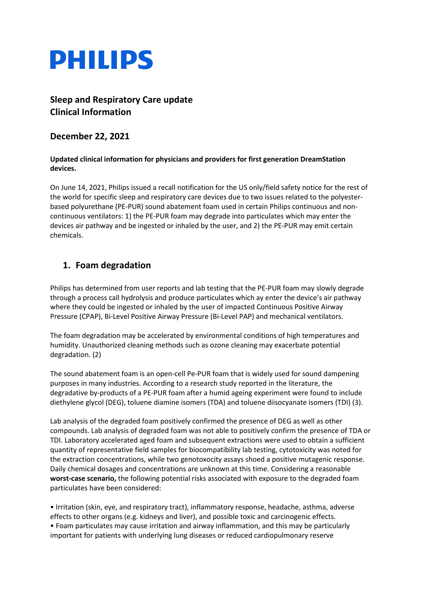

# **Sleep and Respiratory Care update Clinical Information**

### **December 22, 2021**

#### **Updated clinical information for physicians and providers for first generation DreamStation devices.**

On June 14, 2021, Philips issued a recall notification for the US only/field safety notice for the rest of the world for specific sleep and respiratory care devices due to two issues related to the polyesterbased polyurethane (PE-PUR) sound abatement foam used in certain Philips continuous and noncontinuous ventilators: 1) the PE-PUR foam may degrade into particulates which may enter the devices air pathway and be ingested or inhaled by the user, and 2) the PE-PUR may emit certain chemicals.

### **1. Foam degradation**

Philips has determined from user reports and lab testing that the PE-PUR foam may slowly degrade through a process call hydrolysis and produce particulates which ay enter the device's air pathway where they could be ingested or inhaled by the user of impacted Continuous Positive Airway Pressure (CPAP), Bi-Level Positive Airway Pressure (Bi-Level PAP) and mechanical ventilators.

The foam degradation may be accelerated by environmental conditions of high temperatures and humidity. Unauthorized cleaning methods such as ozone cleaning may exacerbate potential degradation. (2)

The sound abatement foam is an open-cell Pe-PUR foam that is widely used for sound dampening purposes in many industries. According to a research study reported in the literature, the degradative by-products of a PE-PUR foam after a humid ageing experiment were found to include diethylene glycol (DEG), toluene diamine isomers (TDA) and toluene diisocyanate isomers (TDI) (3).

Lab analysis of the degraded foam positively confirmed the presence of DEG as well as other compounds. Lab analysis of degraded foam was not able to positively confirm the presence of TDA or TDI. Laboratory accelerated aged foam and subsequent extractions were used to obtain a sufficient quantity of representative field samples for biocompatibility lab testing, cytotoxicity was noted for the extraction concentrations, while two genotoxocity assays shoed a positive mutagenic response. Daily chemical dosages and concentrations are unknown at this time. Considering a reasonable **worst-case scenario,** the following potential risks associated with exposure to the degraded foam particulates have been considered:

• Irritation (skin, eye, and respiratory tract), inflammatory response, headache, asthma, adverse effects to other organs (e.g. kidneys and liver), and possible toxic and carcinogenic effects. • Foam particulates may cause irritation and airway inflammation, and this may be particularly important for patients with underlying lung diseases or reduced cardiopulmonary reserve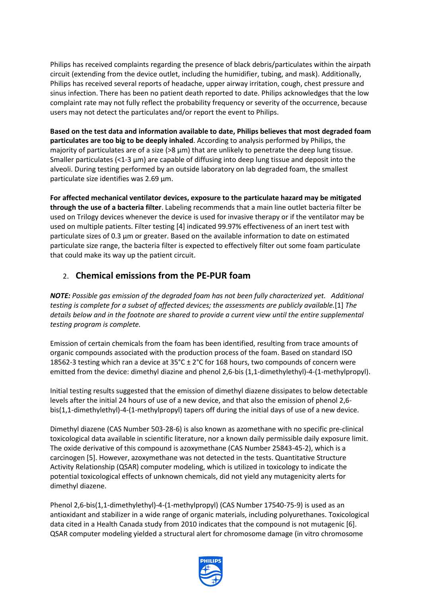Philips has received complaints regarding the presence of black debris/particulates within the airpath circuit (extending from the device outlet, including the humidifier, tubing, and mask). Additionally, Philips has received several reports of headache, upper airway irritation, cough, chest pressure and sinus infection. There has been no patient death reported to date. Philips acknowledges that the low complaint rate may not fully reflect the probability frequency or severity of the occurrence, because users may not detect the particulates and/or report the event to Philips.

**Based on the test data and information available to date, Philips believes that most degraded foam particulates are too big to be deeply inhaled**. According to analysis performed by Philips, the majority of particulates are of a size ( $>8 \mu m$ ) that are unlikely to penetrate the deep lung tissue. Smaller particulates (<1-3 μm) are capable of diffusing into deep lung tissue and deposit into the alveoli. During testing performed by an outside laboratory on lab degraded foam, the smallest particulate size identifies was 2.69 μm.

**For affected mechanical ventilator devices, exposure to the particulate hazard may be mitigated through the use of a bacteria filter**. Labeling recommends that a main line outlet bacteria filter be used on Trilogy devices whenever the device is used for invasive therapy or if the ventilator may be used on multiple patients. Filter testing [4] indicated 99.97% effectiveness of an inert test with particulate sizes of 0.3 μm or greater. Based on the available information to date on estimated particulate size range, the bacteria filter is expected to effectively filter out some foam particulate that could make its way up the patient circuit.

## 2. **Chemical emissions from the PE-PUR foam**

*NOTE: Possible gas emission of the degraded foam has not been fully characterized yet. Additional testing is complete for a subset of affected devices; the assessments are publicly available.*[1] *The details below and in the footnote are shared to provide a current view until the entire supplemental testing program is complete.* 

Emission of certain chemicals from the foam has been identified, resulting from trace amounts of organic compounds associated with the production process of the foam. Based on standard ISO 18562-3 testing which ran a device at 35°C ± 2°C for 168 hours, two compounds of concern were emitted from the device: dimethyl diazine and phenol 2,6-bis (1,1-dimethylethyl)-4-(1-methylpropyl).

Initial testing results suggested that the emission of dimethyl diazene dissipates to below detectable levels after the initial 24 hours of use of a new device, and that also the emission of phenol 2,6 bis(1,1-dimethylethyl)-4-(1-methylpropyl) tapers off during the initial days of use of a new device.

Dimethyl diazene (CAS Number 503-28-6) is also known as azomethane with no specific pre-clinical toxicological data available in scientific literature, nor a known daily permissible daily exposure limit. The oxide derivative of this compound is azoxymethane (CAS Number 25843-45-2), which is a carcinogen [5]. However, azoxymethane was not detected in the tests. Quantitative Structure Activity Relationship (QSAR) computer modeling, which is utilized in toxicology to indicate the potential toxicological effects of unknown chemicals, did not yield any mutagenicity alerts for dimethyl diazene.

Phenol 2,6-bis(1,1-dimethylethyl)-4-(1-methylpropyl) (CAS Number 17540-75-9) is used as an antioxidant and stabilizer in a wide range of organic materials, including polyurethanes. Toxicological data cited in a Health Canada study from 2010 indicates that the compound is not mutagenic [6]. QSAR computer modeling yielded a structural alert for chromosome damage (in vitro chromosome